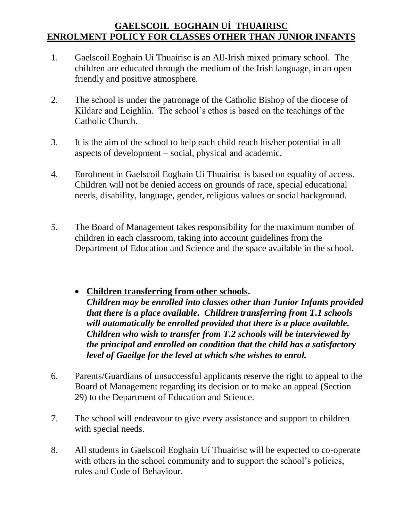## **GAELSCOIL EOGHAIN UÍ THUAIRISC ENROLMENT POLICY FOR CLASSES OTHER THAN JUNIOR INFANTS**

- 1. Gaelscoil Eoghain Uí Thuairisc is an All-Irish mixed primary school. The children are educated through the medium of the Irish language, in an open friendly and positive atmosphere.
- 2. The school is under the patronage of the Catholic Bishop of the diocese of Kildare and Leighlin. The school's ethos is based on the teachings of the Catholic Church.
- 3. It is the aim of the school to help each child reach his/her potential in all aspects of development – social, physical and academic.
- 4. Enrolment in Gaelscoil Eoghain Uí Thuairisc is based on equality of access. Children will not be denied access on grounds of race, special educational needs, disability, language, gender, religious values or social background.
- 5. The Board of Management takes responsibility for the maximum number of children in each classroom, taking into account guidelines from the Department of Education and Science and the space available in the school.
	- **Children transferring from other schools.** *Children may be enrolled into classes other than Junior Infants provided that there is a place available. Children transferring from T.1 schools will automatically be enrolled provided that there is a place available. Children who wish to transfer from T.2 schools will be interviewed by the principal and enrolled on condition that the child has a satisfactory level of Gaeilge for the level at which s/he wishes to enrol.*
- 6. Parents/Guardians of unsuccessful applicants reserve the right to appeal to the Board of Management regarding its decision or to make an appeal (Section 29) to the Department of Education and Science.
- 7. The school will endeavour to give every assistance and support to children with special needs.
- 8. All students in Gaelscoil Eoghain Uí Thuairisc will be expected to co-operate with others in the school community and to support the school's policies, rules and Code of Behaviour.